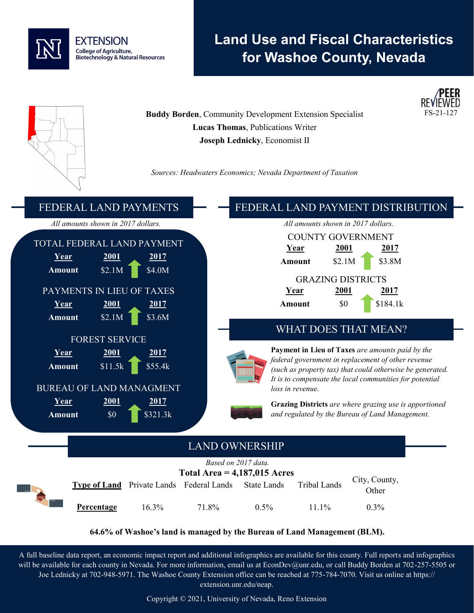

# **Land Use and Fiscal Characteristics for Washoe County, Nevada**



**64.6% of Washoe's land is managed by the Bureau of Land Management (BLM).**

A full baseline data report, an economic impact report and additional infographics are available for this county. Full reports and infographics will be available for each county in Nevada. For more information, email us at EconDev@unr.edu, or call Buddy Borden at 702-257-5505 or Joe Lednicky at 702-948-5971. The Washoe County Extension office can be reached at 775-784-7070. Visit us online at https:// extension.unr.edu/neap.

Copyright © 2021, University of Nevada, Reno Extension